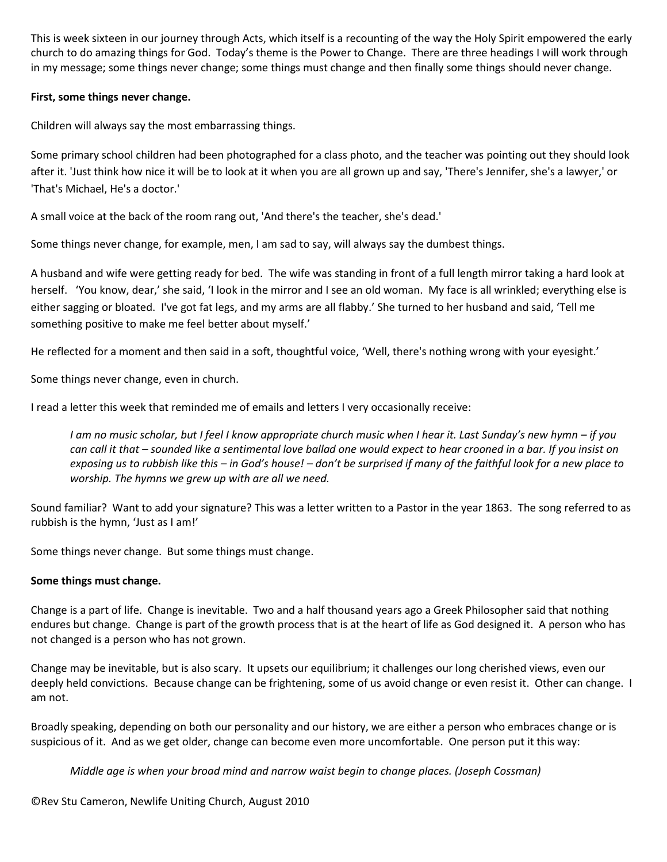This is week sixteen in our journey through Acts, which itself is a recounting of the way the Holy Spirit empowered the early church to do amazing things for God. Today's theme is the Power to Change. There are three headings I will work through in my message; some things never change; some things must change and then finally some things should never change.

## **First, some things never change.**

Children will always say the most embarrassing things.

Some primary school children had been photographed for a class photo, and the teacher was pointing out they should look after it. 'Just think how nice it will be to look at it when you are all grown up and say, 'There's Jennifer, she's a lawyer,' or 'That's Michael, He's a doctor.'

A small voice at the back of the room rang out, 'And there's the teacher, she's dead.'

Some things never change, for example, men, I am sad to say, will always say the dumbest things.

A husband and wife were getting ready for bed. The wife was standing in front of a full length mirror taking a hard look at herself. 'You know, dear,' she said, 'I look in the mirror and I see an old woman. My face is all wrinkled; everything else is either sagging or bloated. I've got fat legs, and my arms are all flabby.' She turned to her husband and said, 'Tell me something positive to make me feel better about myself.'

He reflected for a moment and then said in a soft, thoughtful voice, 'Well, there's nothing wrong with your eyesight.'

Some things never change, even in church.

I read a letter this week that reminded me of emails and letters I very occasionally receive:

*I am no music scholar, but I feel I know appropriate church music when I hear it. Last Sunday's new hymn – if you can call it that – sounded like a sentimental love ballad one would expect to hear crooned in a bar. If you insist on exposing us to rubbish like this – in God's house! – don't be surprised if many of the faithful look for a new place to worship. The hymns we grew up with are all we need.*

Sound familiar? Want to add your signature? This was a letter written to a Pastor in the year 1863. The song referred to as rubbish is the hymn, 'Just as I am!'

Some things never change. But some things must change.

## **Some things must change.**

Change is a part of life. Change is inevitable. Two and a half thousand years ago a Greek Philosopher said that nothing endures but change. Change is part of the growth process that is at the heart of life as God designed it. A person who has not changed is a person who has not grown.

Change may be inevitable, but is also scary. It upsets our equilibrium; it challenges our long cherished views, even our deeply held convictions. Because change can be frightening, some of us avoid change or even resist it. Other can change. I am not.

Broadly speaking, depending on both our personality and our history, we are either a person who embraces change or is suspicious of it. And as we get older, change can become even more uncomfortable. One person put it this way:

*Middle age is when your broad mind and narrow waist begin to change places. (Joseph Cossman)*

©Rev Stu Cameron, Newlife Uniting Church, August 2010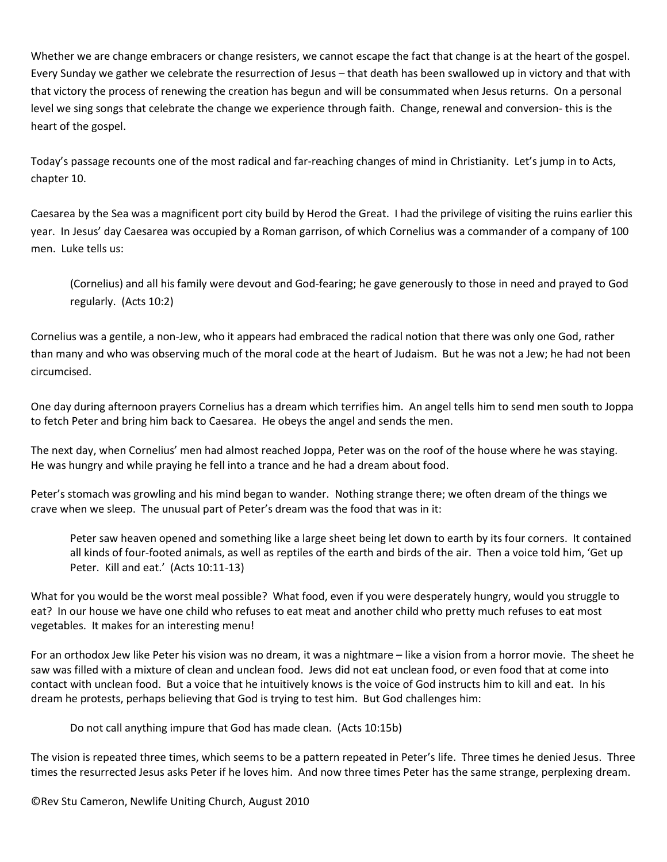Whether we are change embracers or change resisters, we cannot escape the fact that change is at the heart of the gospel. Every Sunday we gather we celebrate the resurrection of Jesus – that death has been swallowed up in victory and that with that victory the process of renewing the creation has begun and will be consummated when Jesus returns. On a personal level we sing songs that celebrate the change we experience through faith. Change, renewal and conversion- this is the heart of the gospel.

Today's passage recounts one of the most radical and far-reaching changes of mind in Christianity. Let's jump in to Acts, chapter 10.

Caesarea by the Sea was a magnificent port city build by Herod the Great. I had the privilege of visiting the ruins earlier this year. In Jesus' day Caesarea was occupied by a Roman garrison, of which Cornelius was a commander of a company of 100 men. Luke tells us:

(Cornelius) and all his family were devout and God-fearing; he gave generously to those in need and prayed to God regularly. (Acts 10:2)

Cornelius was a gentile, a non-Jew, who it appears had embraced the radical notion that there was only one God, rather than many and who was observing much of the moral code at the heart of Judaism. But he was not a Jew; he had not been circumcised.

One day during afternoon prayers Cornelius has a dream which terrifies him. An angel tells him to send men south to Joppa to fetch Peter and bring him back to Caesarea. He obeys the angel and sends the men.

The next day, when Cornelius' men had almost reached Joppa, Peter was on the roof of the house where he was staying. He was hungry and while praying he fell into a trance and he had a dream about food.

Peter's stomach was growling and his mind began to wander. Nothing strange there; we often dream of the things we crave when we sleep. The unusual part of Peter's dream was the food that was in it:

Peter saw heaven opened and something like a large sheet being let down to earth by its four corners. It contained all kinds of four-footed animals, as well as reptiles of the earth and birds of the air. Then a voice told him, 'Get up Peter. Kill and eat.' (Acts 10:11-13)

What for you would be the worst meal possible? What food, even if you were desperately hungry, would you struggle to eat? In our house we have one child who refuses to eat meat and another child who pretty much refuses to eat most vegetables. It makes for an interesting menu!

For an orthodox Jew like Peter his vision was no dream, it was a nightmare – like a vision from a horror movie. The sheet he saw was filled with a mixture of clean and unclean food. Jews did not eat unclean food, or even food that at come into contact with unclean food. But a voice that he intuitively knows is the voice of God instructs him to kill and eat. In his dream he protests, perhaps believing that God is trying to test him. But God challenges him:

Do not call anything impure that God has made clean. (Acts 10:15b)

The vision is repeated three times, which seems to be a pattern repeated in Peter's life. Three times he denied Jesus. Three times the resurrected Jesus asks Peter if he loves him. And now three times Peter has the same strange, perplexing dream.

©Rev Stu Cameron, Newlife Uniting Church, August 2010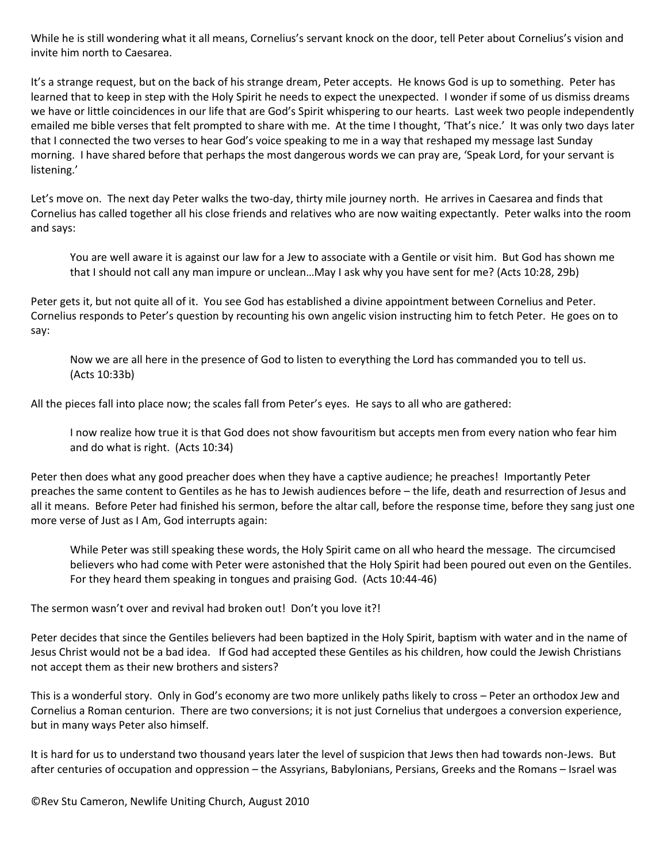While he is still wondering what it all means, Cornelius's servant knock on the door, tell Peter about Cornelius's vision and invite him north to Caesarea.

It's a strange request, but on the back of his strange dream, Peter accepts. He knows God is up to something. Peter has learned that to keep in step with the Holy Spirit he needs to expect the unexpected. I wonder if some of us dismiss dreams we have or little coincidences in our life that are God's Spirit whispering to our hearts. Last week two people independently emailed me bible verses that felt prompted to share with me. At the time I thought, 'That's nice.' It was only two days later that I connected the two verses to hear God's voice speaking to me in a way that reshaped my message last Sunday morning. I have shared before that perhaps the most dangerous words we can pray are, 'Speak Lord, for your servant is listening.'

Let's move on. The next day Peter walks the two-day, thirty mile journey north. He arrives in Caesarea and finds that Cornelius has called together all his close friends and relatives who are now waiting expectantly. Peter walks into the room and says:

You are well aware it is against our law for a Jew to associate with a Gentile or visit him. But God has shown me that I should not call any man impure or unclean…May I ask why you have sent for me? (Acts 10:28, 29b)

Peter gets it, but not quite all of it. You see God has established a divine appointment between Cornelius and Peter. Cornelius responds to Peter's question by recounting his own angelic vision instructing him to fetch Peter. He goes on to say:

Now we are all here in the presence of God to listen to everything the Lord has commanded you to tell us. (Acts 10:33b)

All the pieces fall into place now; the scales fall from Peter's eyes. He says to all who are gathered:

I now realize how true it is that God does not show favouritism but accepts men from every nation who fear him and do what is right. (Acts 10:34)

Peter then does what any good preacher does when they have a captive audience; he preaches! Importantly Peter preaches the same content to Gentiles as he has to Jewish audiences before – the life, death and resurrection of Jesus and all it means. Before Peter had finished his sermon, before the altar call, before the response time, before they sang just one more verse of Just as I Am, God interrupts again:

While Peter was still speaking these words, the Holy Spirit came on all who heard the message. The circumcised believers who had come with Peter were astonished that the Holy Spirit had been poured out even on the Gentiles. For they heard them speaking in tongues and praising God. (Acts 10:44-46)

The sermon wasn't over and revival had broken out! Don't you love it?!

Peter decides that since the Gentiles believers had been baptized in the Holy Spirit, baptism with water and in the name of Jesus Christ would not be a bad idea. If God had accepted these Gentiles as his children, how could the Jewish Christians not accept them as their new brothers and sisters?

This is a wonderful story. Only in God's economy are two more unlikely paths likely to cross – Peter an orthodox Jew and Cornelius a Roman centurion. There are two conversions; it is not just Cornelius that undergoes a conversion experience, but in many ways Peter also himself.

It is hard for us to understand two thousand years later the level of suspicion that Jews then had towards non-Jews. But after centuries of occupation and oppression – the Assyrians, Babylonians, Persians, Greeks and the Romans – Israel was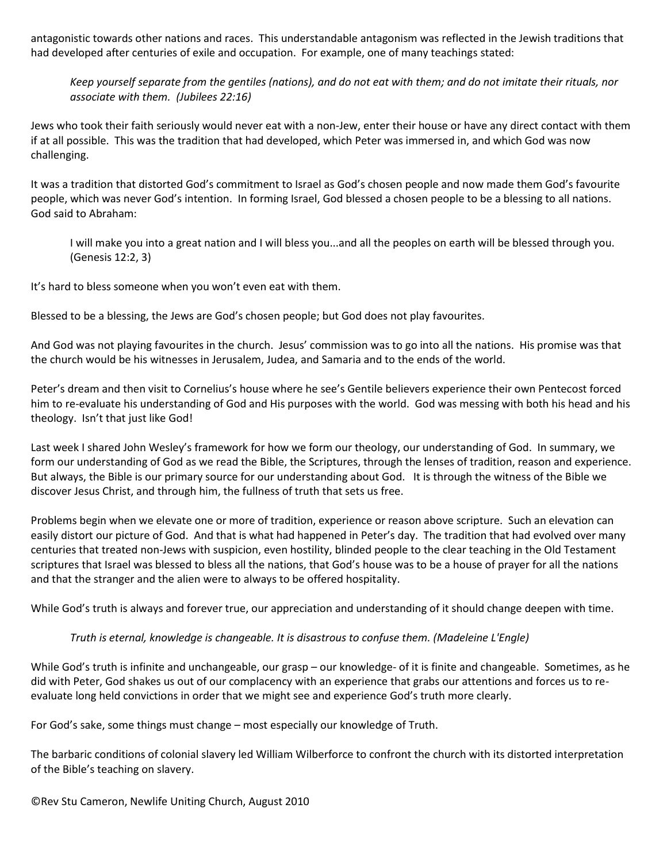antagonistic towards other nations and races. This understandable antagonism was reflected in the Jewish traditions that had developed after centuries of exile and occupation. For example, one of many teachings stated:

*Keep yourself separate from the gentiles (nations), and do not eat with them; and do not imitate their rituals, nor associate with them. (Jubilees 22:16)*

Jews who took their faith seriously would never eat with a non-Jew, enter their house or have any direct contact with them if at all possible. This was the tradition that had developed, which Peter was immersed in, and which God was now challenging.

It was a tradition that distorted God's commitment to Israel as God's chosen people and now made them God's favourite people, which was never God's intention. In forming Israel, God blessed a chosen people to be a blessing to all nations. God said to Abraham:

I will make you into a great nation and I will bless you...and all the peoples on earth will be blessed through you. (Genesis 12:2, 3)

It's hard to bless someone when you won't even eat with them.

Blessed to be a blessing, the Jews are God's chosen people; but God does not play favourites.

And God was not playing favourites in the church. Jesus' commission was to go into all the nations. His promise was that the church would be his witnesses in Jerusalem, Judea, and Samaria and to the ends of the world.

Peter's dream and then visit to Cornelius's house where he see's Gentile believers experience their own Pentecost forced him to re-evaluate his understanding of God and His purposes with the world. God was messing with both his head and his theology. Isn't that just like God!

Last week I shared John Wesley's framework for how we form our theology, our understanding of God. In summary, we form our understanding of God as we read the Bible, the Scriptures, through the lenses of tradition, reason and experience. But always, the Bible is our primary source for our understanding about God. It is through the witness of the Bible we discover Jesus Christ, and through him, the fullness of truth that sets us free.

Problems begin when we elevate one or more of tradition, experience or reason above scripture. Such an elevation can easily distort our picture of God. And that is what had happened in Peter's day. The tradition that had evolved over many centuries that treated non-Jews with suspicion, even hostility, blinded people to the clear teaching in the Old Testament scriptures that Israel was blessed to bless all the nations, that God's house was to be a house of prayer for all the nations and that the stranger and the alien were to always to be offered hospitality.

While God's truth is always and forever true, our appreciation and understanding of it should change deepen with time.

## *Truth is eternal, knowledge is changeable. It is disastrous to confuse them. [\(Madeleine L'Engle\)](http://www.quotationspage.com/quotes/Madeleine_L%27Engle/)*

While God's truth is infinite and unchangeable, our grasp – our knowledge- of it is finite and changeable. Sometimes, as he did with Peter, God shakes us out of our complacency with an experience that grabs our attentions and forces us to reevaluate long held convictions in order that we might see and experience God's truth more clearly.

For God's sake, some things must change – most especially our knowledge of Truth.

The barbaric conditions of colonial slavery led William Wilberforce to confront the church with its distorted interpretation of the Bible's teaching on slavery.

©Rev Stu Cameron, Newlife Uniting Church, August 2010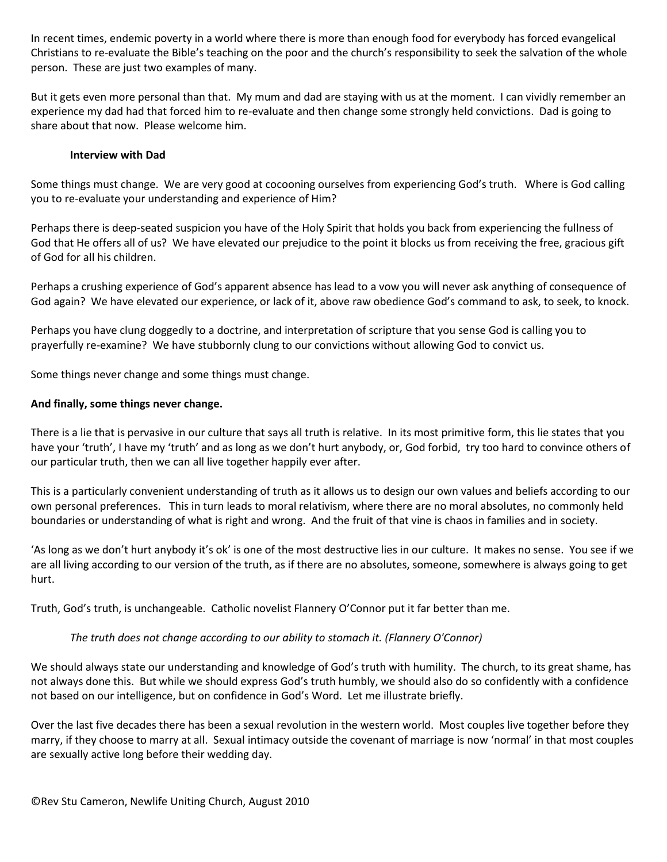In recent times, endemic poverty in a world where there is more than enough food for everybody has forced evangelical Christians to re-evaluate the Bible's teaching on the poor and the church's responsibility to seek the salvation of the whole person. These are just two examples of many.

But it gets even more personal than that. My mum and dad are staying with us at the moment. I can vividly remember an experience my dad had that forced him to re-evaluate and then change some strongly held convictions. Dad is going to share about that now. Please welcome him.

## **Interview with Dad**

Some things must change. We are very good at cocooning ourselves from experiencing God's truth. Where is God calling you to re-evaluate your understanding and experience of Him?

Perhaps there is deep-seated suspicion you have of the Holy Spirit that holds you back from experiencing the fullness of God that He offers all of us? We have elevated our prejudice to the point it blocks us from receiving the free, gracious gift of God for all his children.

Perhaps a crushing experience of God's apparent absence has lead to a vow you will never ask anything of consequence of God again? We have elevated our experience, or lack of it, above raw obedience God's command to ask, to seek, to knock.

Perhaps you have clung doggedly to a doctrine, and interpretation of scripture that you sense God is calling you to prayerfully re-examine? We have stubbornly clung to our convictions without allowing God to convict us.

Some things never change and some things must change.

### **And finally, some things never change.**

There is a lie that is pervasive in our culture that says all truth is relative. In its most primitive form, this lie states that you have your 'truth', I have my 'truth' and as long as we don't hurt anybody, or, God forbid, try too hard to convince others of our particular truth, then we can all live together happily ever after.

This is a particularly convenient understanding of truth as it allows us to design our own values and beliefs according to our own personal preferences. This in turn leads to moral relativism, where there are no moral absolutes, no commonly held boundaries or understanding of what is right and wrong. And the fruit of that vine is chaos in families and in society.

'As long as we don't hurt anybody it's ok' is one of the most destructive lies in our culture. It makes no sense. You see if we are all living according to our version of the truth, as if there are no absolutes, someone, somewhere is always going to get hurt.

Truth, God's truth, is unchangeable. Catholic novelist Flannery O'Connor put it far better than me.

#### *The truth does not change according to our ability to stomach it. [\(Flannery O'Connor\)](http://www.quotationspage.com/quotes/Flannery_O%27Connor/)*

We should always state our understanding and knowledge of God's truth with humility. The church, to its great shame, has not always done this. But while we should express God's truth humbly, we should also do so confidently with a confidence not based on our intelligence, but on confidence in God's Word. Let me illustrate briefly.

Over the last five decades there has been a sexual revolution in the western world. Most couples live together before they marry, if they choose to marry at all. Sexual intimacy outside the covenant of marriage is now 'normal' in that most couples are sexually active long before their wedding day.